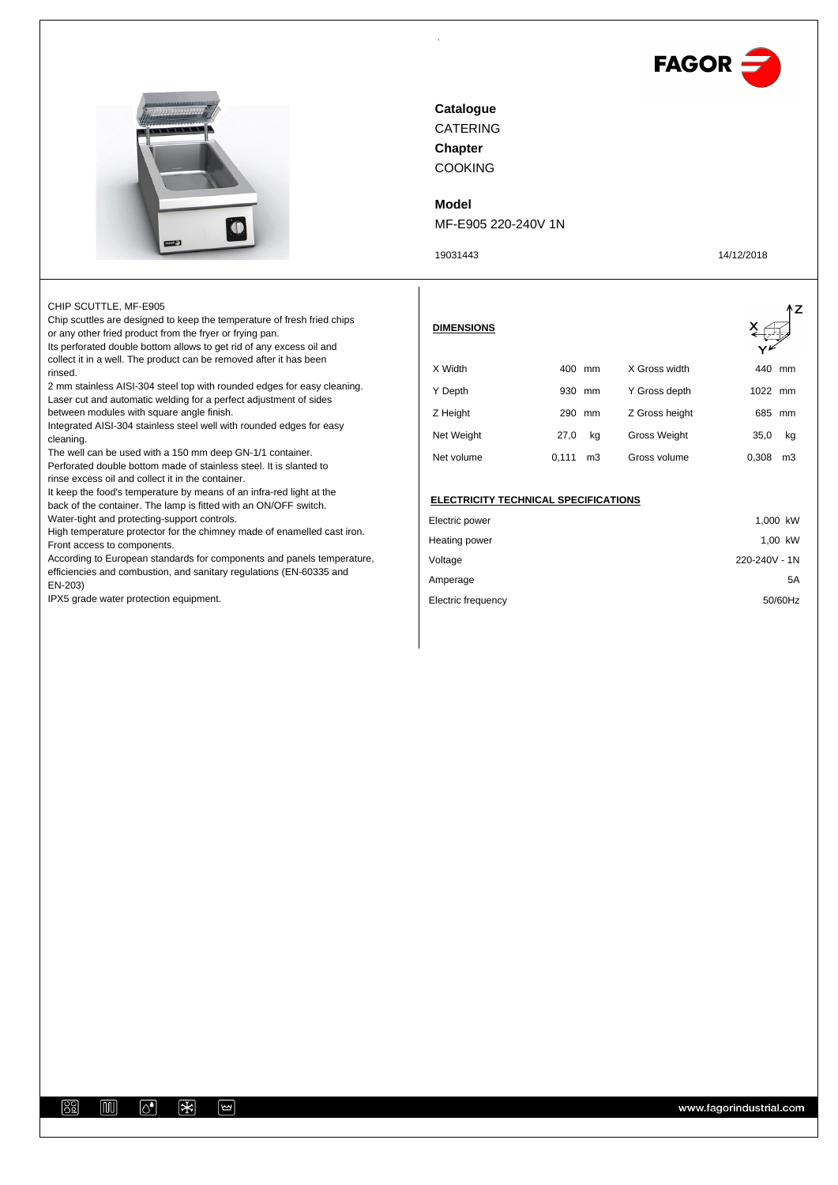



CATERING **Catalogue Chapter**

COOKING

### **Model**

MF-E905 220-240V 1N

19031443 14/12/2018

۸7

#### CHIP SCUTTLE, MF-E905

Chip scuttles are designed to keep the temperature of fresh fried chips or any other fried product from the fryer or frying pan.

Its perforated double bottom allows to get rid of any excess oil and collect it in a well. The product can be removed after it has been rinsed.

2 mm stainless AISI-304 steel top with rounded edges for easy cleaning. Laser cut and automatic welding for a perfect adjustment of sides between modules with square angle finish.

Integrated AISI-304 stainless steel well with rounded edges for easy cleaning.

The well can be used with a 150 mm deep GN-1/1 container. Perforated double bottom made of stainless steel. It is slanted to rinse excess oil and collect it in the container.

It keep the food's temperature by means of an infra-red light at the back of the container. The lamp is fitted with an ON/OFF switch. Water-tight and protecting-support controls.

High temperature protector for the chimney made of enamelled cast iron. Front access to components.

According to European standards for components and panels temperature, efficiencies and combustion, and sanitary regulations (EN-60335 and EN-203)

IPX5 grade water protection equipment.

#### **DIMENSIONS**

|            |             |                     | <b>v</b> –  |
|------------|-------------|---------------------|-------------|
| X Width    | 400<br>mm   | X Gross width       | 440<br>mm   |
| Y Depth    | 930<br>mm   | Y Gross depth       | 1022 mm     |
| Z Height   | 290<br>mm   | Z Gross height      | 685<br>mm   |
| Net Weight | 27.0<br>ka  | <b>Gross Weight</b> | 35,0<br>kq  |
| Net volume | 0.111<br>mЗ | Gross volume        | 0.308<br>mЗ |

## **ELECTRICITY TECHNICAL SPECIFICATIONS**

| Electric power     | 1,000 kW      |
|--------------------|---------------|
| Heating power      | 1,00 kW       |
| Voltage            | 220-240V - 1N |
| Amperage           | 5A            |
| Electric frequency | 50/60Hz       |